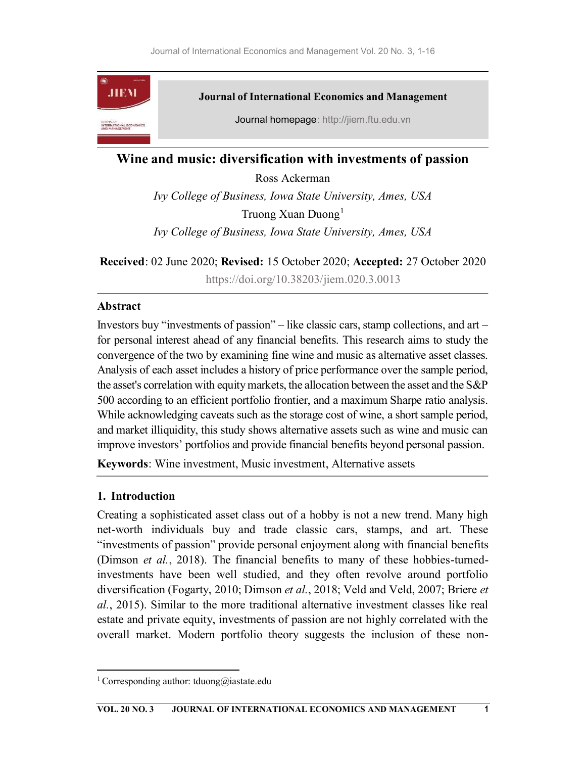

# Wine and music: diversification with investments of passion

Ross Ackerman Ivy College of Business, Iowa State University, Ames, USA Truong Xuan Duong<sup>1</sup> Ivy College of Business, Iowa State University, Ames, USA

Received: 02 June 2020; Revised: 15 October 2020; Accepted: 27 October 2020

https://doi.org/10.38203/jiem.020.3.0013

### Abstract

Investors buy "investments of passion" – like classic cars, stamp collections, and art – for personal interest ahead of any financial benefits. This research aims to study the convergence of the two by examining fine wine and music as alternative asset classes. Analysis of each asset includes a history of price performance over the sample period, the asset's correlation with equity markets, the allocation between the asset and the S&P 500 according to an efficient portfolio frontier, and a maximum Sharpe ratio analysis. While acknowledging caveats such as the storage cost of wine, a short sample period, and market illiquidity, this study shows alternative assets such as wine and music can improve investors' portfolios and provide financial benefits beyond personal passion.

Keywords: Wine investment, Music investment, Alternative assets

# 1. Introduction

Creating a sophisticated asset class out of a hobby is not a new trend. Many high net-worth individuals buy and trade classic cars, stamps, and art. These "investments of passion" provide personal enjoyment along with financial benefits (Dimson et al., 2018). The financial benefits to many of these hobbies-turnedinvestments have been well studied, and they often revolve around portfolio diversification (Fogarty, 2010; Dimson et al., 2018; Veld and Veld, 2007; Briere et al., 2015). Similar to the more traditional alternative investment classes like real estate and private equity, investments of passion are not highly correlated with the overall market. Modern portfolio theory suggests the inclusion of these non-

<sup>&</sup>lt;sup>1</sup> Corresponding author: tduong@iastate.edu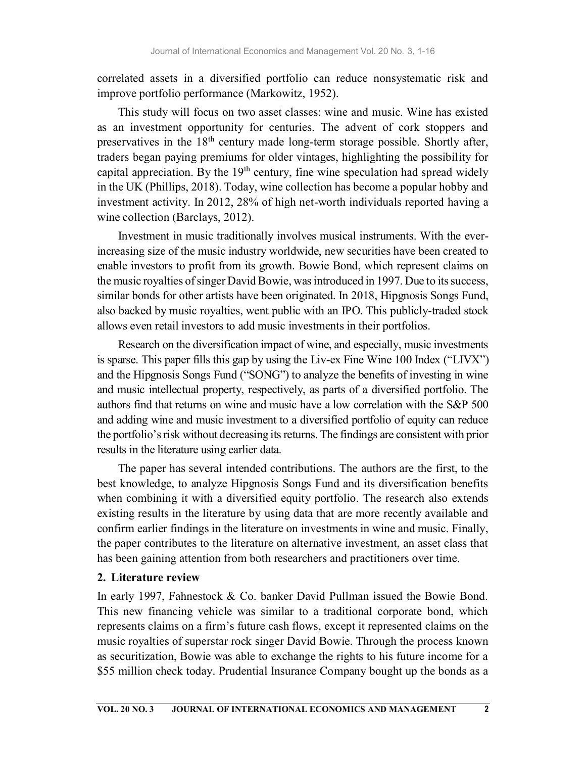correlated assets in a diversified portfolio can reduce nonsystematic risk and improve portfolio performance (Markowitz, 1952).

This study will focus on two asset classes: wine and music. Wine has existed as an investment opportunity for centuries. The advent of cork stoppers and preservatives in the  $18<sup>th</sup>$  century made long-term storage possible. Shortly after, traders began paying premiums for older vintages, highlighting the possibility for capital appreciation. By the  $19<sup>th</sup>$  century, fine wine speculation had spread widely in the UK (Phillips, 2018). Today, wine collection has become a popular hobby and investment activity. In 2012, 28% of high net-worth individuals reported having a wine collection (Barclays, 2012).

Investment in music traditionally involves musical instruments. With the everincreasing size of the music industry worldwide, new securities have been created to enable investors to profit from its growth. Bowie Bond, which represent claims on the music royalties of singer David Bowie, was introduced in 1997. Due to its success, similar bonds for other artists have been originated. In 2018, Hipgnosis Songs Fund, also backed by music royalties, went public with an IPO. This publicly-traded stock allows even retail investors to add music investments in their portfolios.

Research on the diversification impact of wine, and especially, music investments is sparse. This paper fills this gap by using the Liv-ex Fine Wine 100 Index ("LIVX") and the Hipgnosis Songs Fund ("SONG") to analyze the benefits of investing in wine and music intellectual property, respectively, as parts of a diversified portfolio. The authors find that returns on wine and music have a low correlation with the S&P 500 and adding wine and music investment to a diversified portfolio of equity can reduce the portfolio's risk without decreasing its returns. The findings are consistent with prior results in the literature using earlier data.

The paper has several intended contributions. The authors are the first, to the best knowledge, to analyze Hipgnosis Songs Fund and its diversification benefits when combining it with a diversified equity portfolio. The research also extends existing results in the literature by using data that are more recently available and confirm earlier findings in the literature on investments in wine and music. Finally, the paper contributes to the literature on alternative investment, an asset class that has been gaining attention from both researchers and practitioners over time.

# 2. Literature review

In early 1997, Fahnestock & Co. banker David Pullman issued the Bowie Bond. This new financing vehicle was similar to a traditional corporate bond, which represents claims on a firm's future cash flows, except it represented claims on the music royalties of superstar rock singer David Bowie. Through the process known as securitization, Bowie was able to exchange the rights to his future income for a \$55 million check today. Prudential Insurance Company bought up the bonds as a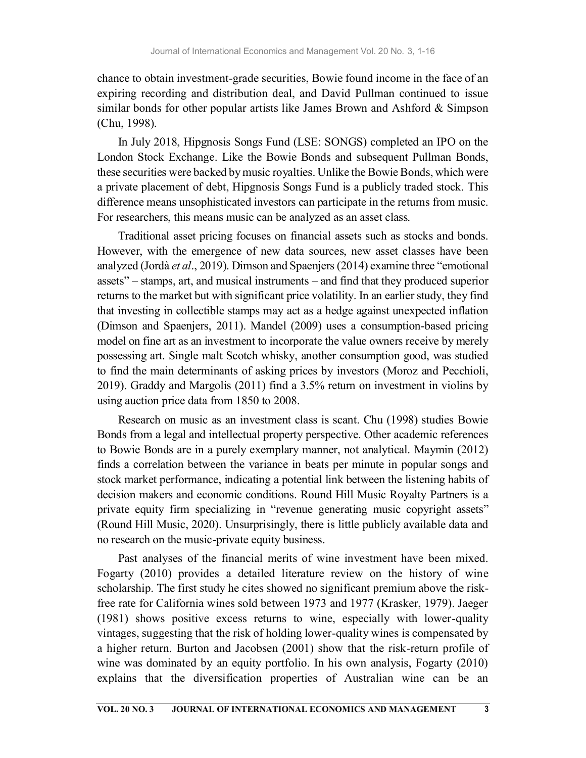chance to obtain investment-grade securities, Bowie found income in the face of an expiring recording and distribution deal, and David Pullman continued to issue similar bonds for other popular artists like James Brown and Ashford  $&$  Simpson (Chu, 1998).

In July 2018, Hipgnosis Songs Fund (LSE: SONGS) completed an IPO on the London Stock Exchange. Like the Bowie Bonds and subsequent Pullman Bonds, these securities were backed by music royalties. Unlike the Bowie Bonds, which were a private placement of debt, Hipgnosis Songs Fund is a publicly traded stock. This difference means unsophisticated investors can participate in the returns from music. For researchers, this means music can be analyzed as an asset class.

Traditional asset pricing focuses on financial assets such as stocks and bonds. However, with the emergence of new data sources, new asset classes have been analyzed (Jordà et al., 2019). Dimson and Spaenjers (2014) examine three "emotional assets" – stamps, art, and musical instruments – and find that they produced superior returns to the market but with significant price volatility. In an earlier study, they find that investing in collectible stamps may act as a hedge against unexpected inflation (Dimson and Spaenjers, 2011). Mandel (2009) uses a consumption-based pricing model on fine art as an investment to incorporate the value owners receive by merely possessing art. Single malt Scotch whisky, another consumption good, was studied to find the main determinants of asking prices by investors (Moroz and Pecchioli, 2019). Graddy and Margolis (2011) find a 3.5% return on investment in violins by using auction price data from 1850 to 2008.

Research on music as an investment class is scant. Chu (1998) studies Bowie Bonds from a legal and intellectual property perspective. Other academic references to Bowie Bonds are in a purely exemplary manner, not analytical. Maymin (2012) finds a correlation between the variance in beats per minute in popular songs and stock market performance, indicating a potential link between the listening habits of decision makers and economic conditions. Round Hill Music Royalty Partners is a private equity firm specializing in "revenue generating music copyright assets" (Round Hill Music, 2020). Unsurprisingly, there is little publicly available data and no research on the music-private equity business.

Past analyses of the financial merits of wine investment have been mixed. Fogarty (2010) provides a detailed literature review on the history of wine scholarship. The first study he cites showed no significant premium above the riskfree rate for California wines sold between 1973 and 1977 (Krasker, 1979). Jaeger (1981) shows positive excess returns to wine, especially with lower-quality vintages, suggesting that the risk of holding lower-quality wines is compensated by a higher return. Burton and Jacobsen (2001) show that the risk-return profile of wine was dominated by an equity portfolio. In his own analysis, Fogarty (2010) explains that the diversification properties of Australian wine can be an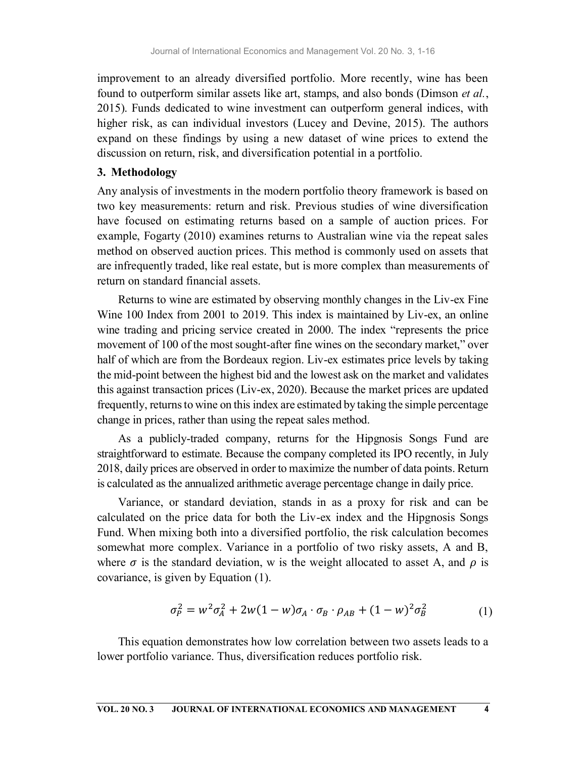improvement to an already diversified portfolio. More recently, wine has been found to outperform similar assets like art, stamps, and also bonds (Dimson *et al.*, 2015). Funds dedicated to wine investment can outperform general indices, with higher risk, as can individual investors (Lucey and Devine, 2015). The authors expand on these findings by using a new dataset of wine prices to extend the discussion on return, risk, and diversification potential in a portfolio.

#### 3. Methodology

Any analysis of investments in the modern portfolio theory framework is based on two key measurements: return and risk. Previous studies of wine diversification have focused on estimating returns based on a sample of auction prices. For example, Fogarty (2010) examines returns to Australian wine via the repeat sales method on observed auction prices. This method is commonly used on assets that are infrequently traded, like real estate, but is more complex than measurements of return on standard financial assets.

Returns to wine are estimated by observing monthly changes in the Liv-ex Fine Wine 100 Index from 2001 to 2019. This index is maintained by Liv-ex, an online wine trading and pricing service created in 2000. The index "represents the price movement of 100 of the most sought-after fine wines on the secondary market," over half of which are from the Bordeaux region. Liv-ex estimates price levels by taking the mid-point between the highest bid and the lowest ask on the market and validates this against transaction prices (Liv-ex, 2020). Because the market prices are updated frequently, returns to wine on this index are estimated by taking the simple percentage change in prices, rather than using the repeat sales method.

As a publicly-traded company, returns for the Hipgnosis Songs Fund are straightforward to estimate. Because the company completed its IPO recently, in July 2018, daily prices are observed in order to maximize the number of data points. Return is calculated as the annualized arithmetic average percentage change in daily price.

Variance, or standard deviation, stands in as a proxy for risk and can be calculated on the price data for both the Liv-ex index and the Hipgnosis Songs Fund. When mixing both into a diversified portfolio, the risk calculation becomes somewhat more complex. Variance in a portfolio of two risky assets, A and B, where  $\sigma$  is the standard deviation, w is the weight allocated to asset A, and  $\rho$  is covariance, is given by Equation (1).

$$
\sigma_P^2 = w^2 \sigma_A^2 + 2w(1 - w)\sigma_A \cdot \sigma_B \cdot \rho_{AB} + (1 - w)^2 \sigma_B^2 \tag{1}
$$

This equation demonstrates how low correlation between two assets leads to a lower portfolio variance. Thus, diversification reduces portfolio risk.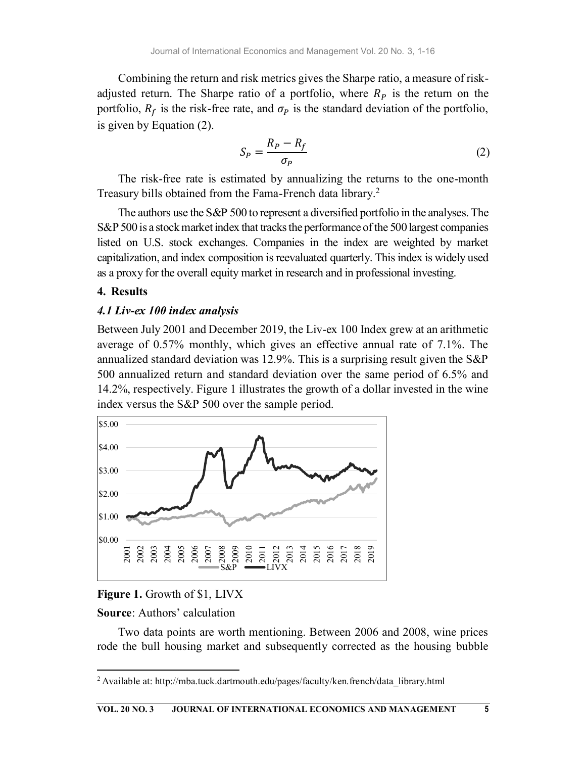Combining the return and risk metrics gives the Sharpe ratio, a measure of riskadjusted return. The Sharpe ratio of a portfolio, where  $R_p$  is the return on the portfolio,  $R_f$  is the risk-free rate, and  $\sigma_p$  is the standard deviation of the portfolio, is given by Equation (2).

$$
S_P = \frac{R_P - R_f}{\sigma_P} \tag{2}
$$

The risk-free rate is estimated by annualizing the returns to the one-month Treasury bills obtained from the Fama-French data library.<sup>2</sup>

The authors use the S&P 500 to represent a diversified portfolio in the analyses. The S&P 500 is a stock market index that tracks the performance of the 500 largest companies listed on U.S. stock exchanges. Companies in the index are weighted by market capitalization, and index composition is reevaluated quarterly. This index is widely used as a proxy for the overall equity market in research and in professional investing.

### 4. Results

### 4.1 Liv-ex 100 index analysis

Between July 2001 and December 2019, the Liv-ex 100 Index grew at an arithmetic average of 0.57% monthly, which gives an effective annual rate of 7.1%. The annualized standard deviation was 12.9%. This is a surprising result given the S&P 500 annualized return and standard deviation over the same period of 6.5% and 14.2%, respectively. Figure 1 illustrates the growth of a dollar invested in the wine index versus the S&P 500 over the sample period.



### Figure 1. Growth of \$1, LIVX

Source: Authors' calculation

Two data points are worth mentioning. Between 2006 and 2008, wine prices rode the bull housing market and subsequently corrected as the housing bubble

 $2$  Available at: http://mba.tuck.dartmouth.edu/pages/faculty/ken.french/data\_library.html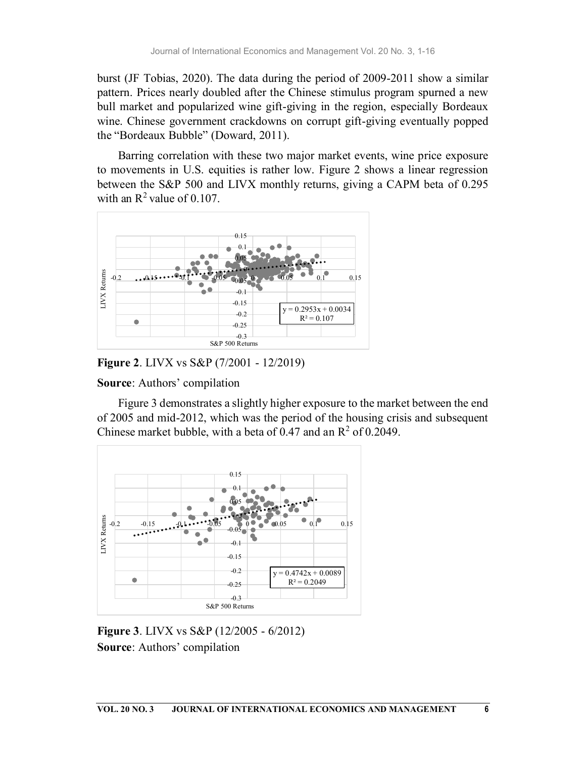burst (JF Tobias, 2020). The data during the period of 2009-2011 show a similar pattern. Prices nearly doubled after the Chinese stimulus program spurned a new bull market and popularized wine gift-giving in the region, especially Bordeaux wine. Chinese government crackdowns on corrupt gift-giving eventually popped the "Bordeaux Bubble" (Doward, 2011).

Barring correlation with these two major market events, wine price exposure to movements in U.S. equities is rather low. Figure 2 shows a linear regression between the S&P 500 and LIVX monthly returns, giving a CAPM beta of 0.295 with an  $\mathbb{R}^2$  value of 0.107.



Figure 2. LIVX vs S&P (7/2001 - 12/2019)

Source: Authors' compilation

Figure 3 demonstrates a slightly higher exposure to the market between the end of 2005 and mid-2012, which was the period of the housing crisis and subsequent Chinese market bubble, with a beta of 0.47 and an  $\mathbb{R}^2$  of 0.2049.



Figure 3. LIVX vs S&P (12/2005 - 6/2012) Source: Authors' compilation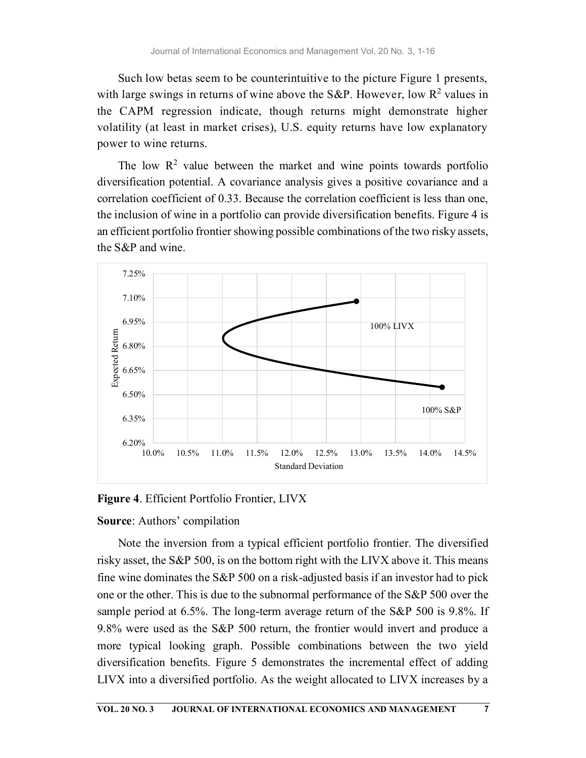Such low betas seem to be counterintuitive to the picture Figure 1 presents, with large swings in returns of wine above the S&P. However, low  $R^2$  values in the CAPM regression indicate, though returns might demonstrate higher volatility (at least in market crises), U.S. equity returns have low explanatory power to wine returns.

The low  $\mathbb{R}^2$  value between the market and wine points towards portfolio diversification potential. A covariance analysis gives a positive covariance and a correlation coefficient of 0.33. Because the correlation coefficient is less than one, the inclusion of wine in a portfolio can provide diversification benefits. Figure 4 is an efficient portfolio frontier showing possible combinations of the two risky assets, the S&P and wine.



Figure 4. Efficient Portfolio Frontier, LIVX

#### Source: Authors' compilation

Note the inversion from a typical efficient portfolio frontier. The diversified risky asset, the S&P 500, is on the bottom right with the LIVX above it. This means fine wine dominates the S&P 500 on a risk-adjusted basis if an investor had to pick one or the other. This is due to the subnormal performance of the S&P 500 over the sample period at 6.5%. The long-term average return of the S&P 500 is 9.8%. If 9.8% were used as the S&P 500 return, the frontier would invert and produce a more typical looking graph. Possible combinations between the two yield diversification benefits. Figure 5 demonstrates the incremental effect of adding LIVX into a diversified portfolio. As the weight allocated to LIVX increases by a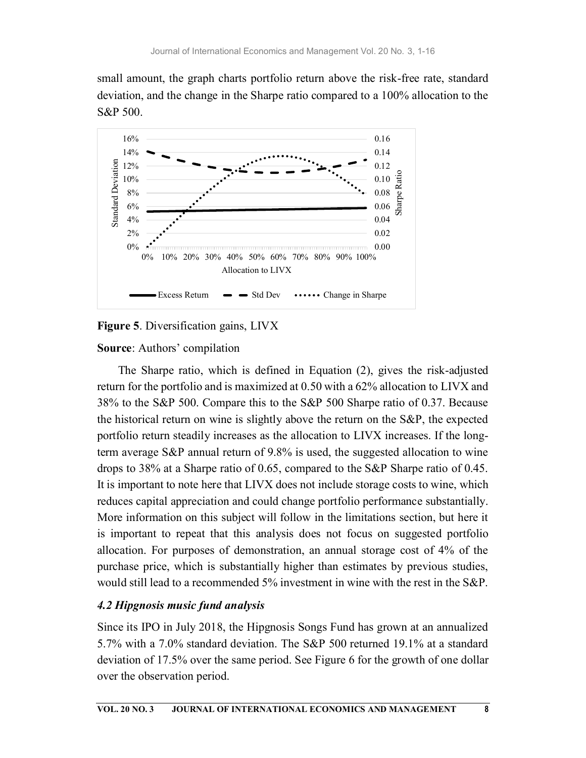small amount, the graph charts portfolio return above the risk-free rate, standard deviation, and the change in the Sharpe ratio compared to a 100% allocation to the S&P 500.



# Figure 5. Diversification gains, LIVX

# Source: Authors' compilation

The Sharpe ratio, which is defined in Equation (2), gives the risk-adjusted return for the portfolio and is maximized at 0.50 with a 62% allocation to LIVX and 38% to the S&P 500. Compare this to the S&P 500 Sharpe ratio of 0.37. Because the historical return on wine is slightly above the return on the S&P, the expected portfolio return steadily increases as the allocation to LIVX increases. If the longterm average S&P annual return of 9.8% is used, the suggested allocation to wine drops to 38% at a Sharpe ratio of 0.65, compared to the S&P Sharpe ratio of 0.45. It is important to note here that LIVX does not include storage costs to wine, which reduces capital appreciation and could change portfolio performance substantially. More information on this subject will follow in the limitations section, but here it is important to repeat that this analysis does not focus on suggested portfolio allocation. For purposes of demonstration, an annual storage cost of 4% of the purchase price, which is substantially higher than estimates by previous studies, would still lead to a recommended 5% investment in wine with the rest in the S&P.

# 4.2 Hipgnosis music fund analysis

Since its IPO in July 2018, the Hipgnosis Songs Fund has grown at an annualized 5.7% with a 7.0% standard deviation. The S&P 500 returned 19.1% at a standard deviation of 17.5% over the same period. See Figure 6 for the growth of one dollar over the observation period.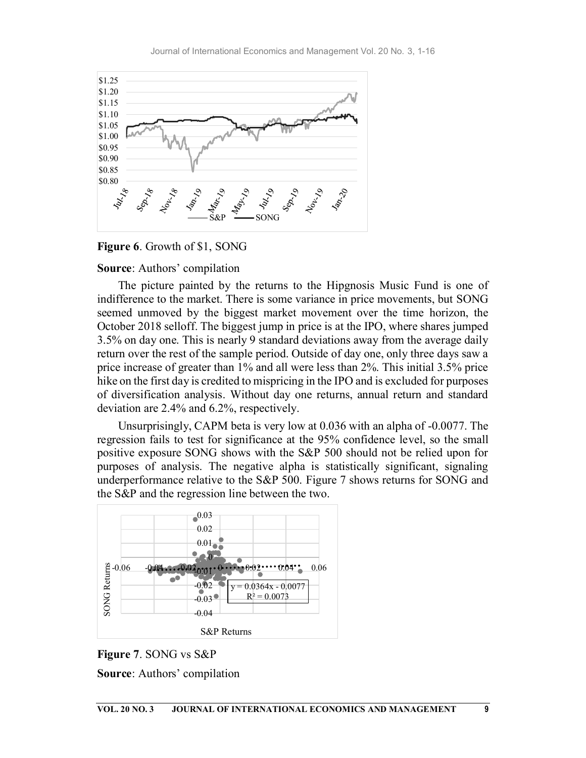

Figure 6. Growth of \$1, SONG

### Source: Authors' compilation

The picture painted by the returns to the Hipgnosis Music Fund is one of indifference to the market. There is some variance in price movements, but SONG seemed unmoved by the biggest market movement over the time horizon, the October 2018 selloff. The biggest jump in price is at the IPO, where shares jumped 3.5% on day one. This is nearly 9 standard deviations away from the average daily return over the rest of the sample period. Outside of day one, only three days saw a price increase of greater than 1% and all were less than 2%. This initial 3.5% price hike on the first day is credited to mispricing in the IPO and is excluded for purposes of diversification analysis. Without day one returns, annual return and standard deviation are 2.4% and 6.2%, respectively. bcober 2018 selloff. The biggest jump in price is at the IPO, where shares jumped<br>  $5\%$  on day one. This is nearly 9 studiend deviations away from the average daily<br>
studient over the rest of the sample period. Outside o

Unsurprisingly, CAPM beta is very low at 0.036 with an alpha of -0.0077. The regression fails to test for significance at the 95% confidence level, so the small positive exposure SONG shows with the S&P 500 should not be relied upon for purposes of analysis. The negative alpha is statistically significant, signaling underperformance relative to the S&P 500. Figure 7 shows returns for SONG and the S&P and the regression line between the two. ary 9 standard deviations away from the average daily<br>mple period. Outside of day one, only three days saw a<br>n) 1% and all were less than 2%. This initial 3.5% price<br>d to mispricing in the IPO and is excluded for purposes



Figure 7. SONG vs S&P Source: Authors' compilation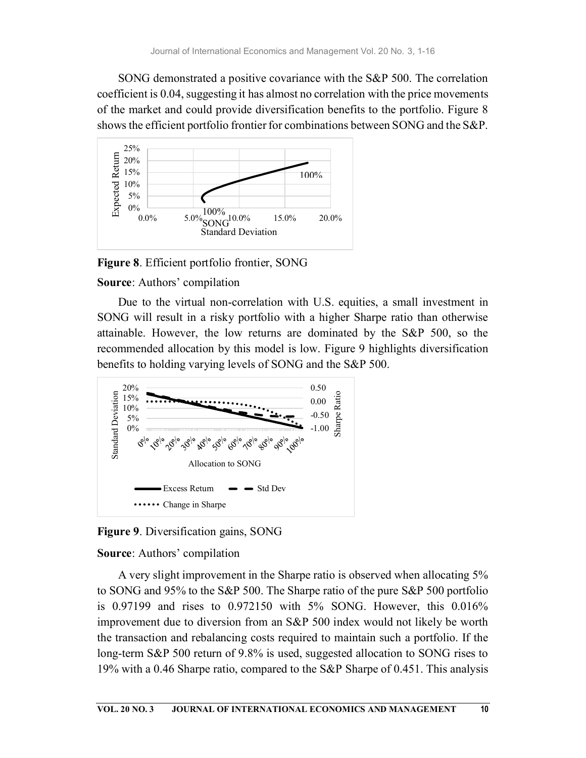SONG demonstrated a positive covariance with the S&P 500. The correlation coefficient is 0.04, suggesting it has almost no correlation with the price movements of the market and could provide diversification benefits to the portfolio. Figure 8 shows the efficient portfolio frontier for combinations between SONG and the S&P.



Figure 8. Efficient portfolio frontier, SONG

### Source: Authors' compilation

Due to the virtual non-correlation with U.S. equities, a small investment in SONG will result in a risky portfolio with a higher Sharpe ratio than otherwise attainable. However, the low returns are dominated by the S&P 500, so the recommended allocation by this model is low. Figure 9 highlights diversification benefits to holding varying levels of SONG and the S&P 500.



Figure 9. Diversification gains, SONG

Source: Authors' compilation

A very slight improvement in the Sharpe ratio is observed when allocating 5% to SONG and 95% to the S&P 500. The Sharpe ratio of the pure S&P 500 portfolio is 0.97199 and rises to 0.972150 with 5% SONG. However, this 0.016% improvement due to diversion from an S&P 500 index would not likely be worth the transaction and rebalancing costs required to maintain such a portfolio. If the long-term S&P 500 return of 9.8% is used, suggested allocation to SONG rises to 19% with a 0.46 Sharpe ratio, compared to the S&P Sharpe of 0.451. This analysis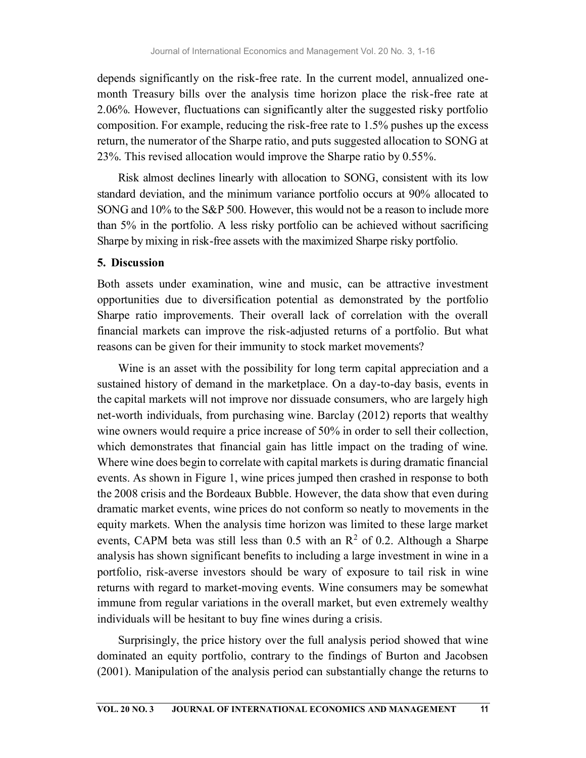depends significantly on the risk-free rate. In the current model, annualized onemonth Treasury bills over the analysis time horizon place the risk-free rate at 2.06%. However, fluctuations can significantly alter the suggested risky portfolio composition. For example, reducing the risk-free rate to 1.5% pushes up the excess return, the numerator of the Sharpe ratio, and puts suggested allocation to SONG at 23%. This revised allocation would improve the Sharpe ratio by 0.55%.

Risk almost declines linearly with allocation to SONG, consistent with its low standard deviation, and the minimum variance portfolio occurs at 90% allocated to SONG and 10% to the S&P 500. However, this would not be a reason to include more than 5% in the portfolio. A less risky portfolio can be achieved without sacrificing Sharpe by mixing in risk-free assets with the maximized Sharpe risky portfolio.

### 5. Discussion

Both assets under examination, wine and music, can be attractive investment opportunities due to diversification potential as demonstrated by the portfolio Sharpe ratio improvements. Their overall lack of correlation with the overall financial markets can improve the risk-adjusted returns of a portfolio. But what reasons can be given for their immunity to stock market movements?

Wine is an asset with the possibility for long term capital appreciation and a sustained history of demand in the marketplace. On a day-to-day basis, events in the capital markets will not improve nor dissuade consumers, who are largely high net-worth individuals, from purchasing wine. Barclay (2012) reports that wealthy wine owners would require a price increase of 50% in order to sell their collection, which demonstrates that financial gain has little impact on the trading of wine. Where wine does begin to correlate with capital markets is during dramatic financial events. As shown in Figure 1, wine prices jumped then crashed in response to both the 2008 crisis and the Bordeaux Bubble. However, the data show that even during dramatic market events, wine prices do not conform so neatly to movements in the equity markets. When the analysis time horizon was limited to these large market events, CAPM beta was still less than 0.5 with an  $\mathbb{R}^2$  of 0.2. Although a Sharpe analysis has shown significant benefits to including a large investment in wine in a portfolio, risk-averse investors should be wary of exposure to tail risk in wine returns with regard to market-moving events. Wine consumers may be somewhat immune from regular variations in the overall market, but even extremely wealthy individuals will be hesitant to buy fine wines during a crisis.

Surprisingly, the price history over the full analysis period showed that wine dominated an equity portfolio, contrary to the findings of Burton and Jacobsen (2001). Manipulation of the analysis period can substantially change the returns to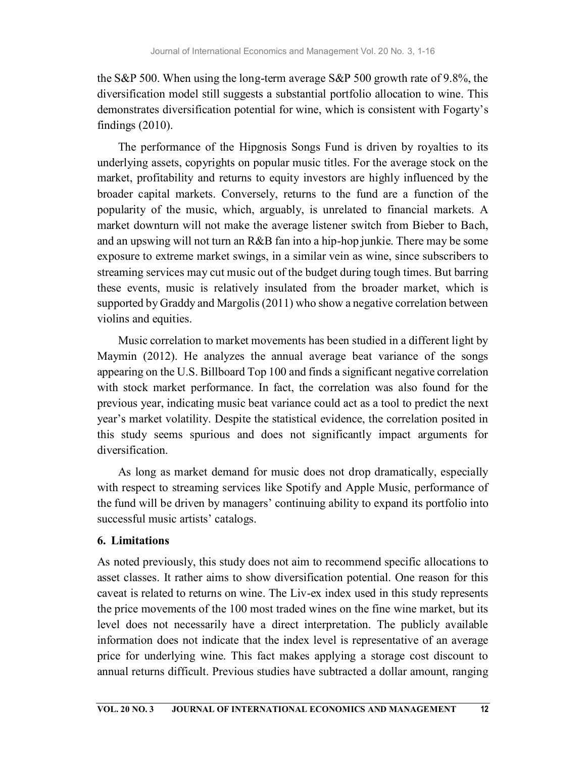the S&P 500. When using the long-term average S&P 500 growth rate of 9.8%, the diversification model still suggests a substantial portfolio allocation to wine. This demonstrates diversification potential for wine, which is consistent with Fogarty's findings (2010).

The performance of the Hipgnosis Songs Fund is driven by royalties to its underlying assets, copyrights on popular music titles. For the average stock on the market, profitability and returns to equity investors are highly influenced by the broader capital markets. Conversely, returns to the fund are a function of the popularity of the music, which, arguably, is unrelated to financial markets. A market downturn will not make the average listener switch from Bieber to Bach, and an upswing will not turn an R&B fan into a hip-hop junkie. There may be some exposure to extreme market swings, in a similar vein as wine, since subscribers to streaming services may cut music out of the budget during tough times. But barring these events, music is relatively insulated from the broader market, which is supported by Graddy and Margolis (2011) who show a negative correlation between violins and equities.

Music correlation to market movements has been studied in a different light by Maymin (2012). He analyzes the annual average beat variance of the songs appearing on the U.S. Billboard Top 100 and finds a significant negative correlation with stock market performance. In fact, the correlation was also found for the previous year, indicating music beat variance could act as a tool to predict the next year's market volatility. Despite the statistical evidence, the correlation posited in this study seems spurious and does not significantly impact arguments for diversification.

As long as market demand for music does not drop dramatically, especially with respect to streaming services like Spotify and Apple Music, performance of the fund will be driven by managers' continuing ability to expand its portfolio into successful music artists' catalogs.

# 6. Limitations

As noted previously, this study does not aim to recommend specific allocations to asset classes. It rather aims to show diversification potential. One reason for this caveat is related to returns on wine. The Liv-ex index used in this study represents the price movements of the 100 most traded wines on the fine wine market, but its level does not necessarily have a direct interpretation. The publicly available information does not indicate that the index level is representative of an average price for underlying wine. This fact makes applying a storage cost discount to annual returns difficult. Previous studies have subtracted a dollar amount, ranging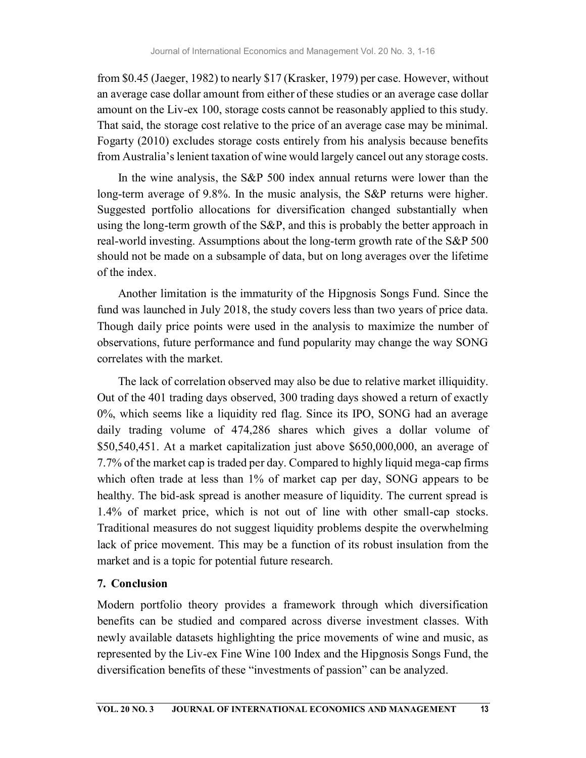from \$0.45 (Jaeger, 1982) to nearly \$17 (Krasker, 1979) per case. However, without an average case dollar amount from either of these studies or an average case dollar amount on the Liv-ex 100, storage costs cannot be reasonably applied to this study. That said, the storage cost relative to the price of an average case may be minimal. Fogarty (2010) excludes storage costs entirely from his analysis because benefits from Australia's lenient taxation of wine would largely cancel out any storage costs.

In the wine analysis, the S&P 500 index annual returns were lower than the long-term average of 9.8%. In the music analysis, the S&P returns were higher. Suggested portfolio allocations for diversification changed substantially when using the long-term growth of the S&P, and this is probably the better approach in real-world investing. Assumptions about the long-term growth rate of the S&P 500 should not be made on a subsample of data, but on long averages over the lifetime of the index.

Another limitation is the immaturity of the Hipgnosis Songs Fund. Since the fund was launched in July 2018, the study covers less than two years of price data. Though daily price points were used in the analysis to maximize the number of observations, future performance and fund popularity may change the way SONG correlates with the market.

The lack of correlation observed may also be due to relative market illiquidity. Out of the 401 trading days observed, 300 trading days showed a return of exactly 0%, which seems like a liquidity red flag. Since its IPO, SONG had an average daily trading volume of 474,286 shares which gives a dollar volume of \$50,540,451. At a market capitalization just above \$650,000,000, an average of 7.7% of the market cap is traded per day. Compared to highly liquid mega-cap firms which often trade at less than 1% of market cap per day, SONG appears to be healthy. The bid-ask spread is another measure of liquidity. The current spread is 1.4% of market price, which is not out of line with other small-cap stocks. Traditional measures do not suggest liquidity problems despite the overwhelming lack of price movement. This may be a function of its robust insulation from the market and is a topic for potential future research.

# 7. Conclusion

Modern portfolio theory provides a framework through which diversification benefits can be studied and compared across diverse investment classes. With newly available datasets highlighting the price movements of wine and music, as represented by the Liv-ex Fine Wine 100 Index and the Hipgnosis Songs Fund, the diversification benefits of these "investments of passion" can be analyzed.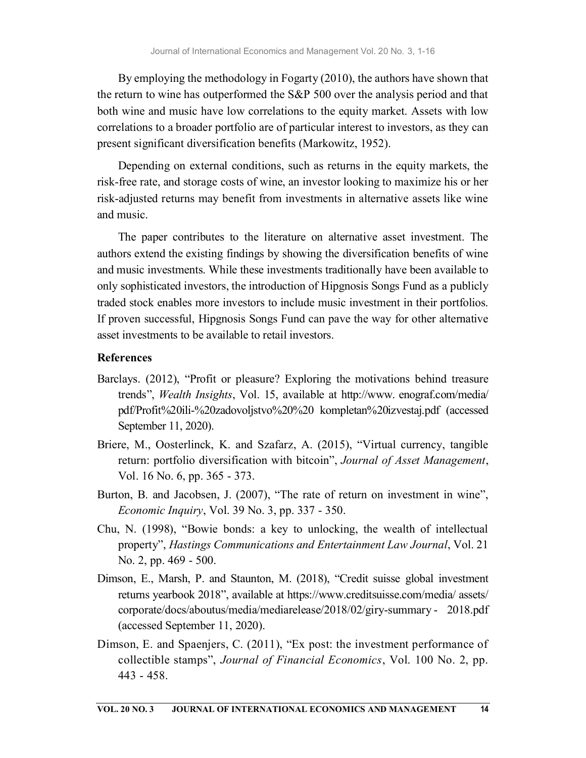By employing the methodology in Fogarty (2010), the authors have shown that the return to wine has outperformed the S&P 500 over the analysis period and that both wine and music have low correlations to the equity market. Assets with low correlations to a broader portfolio are of particular interest to investors, as they can present significant diversification benefits (Markowitz, 1952).

Depending on external conditions, such as returns in the equity markets, the risk-free rate, and storage costs of wine, an investor looking to maximize his or her risk-adjusted returns may benefit from investments in alternative assets like wine and music.

The paper contributes to the literature on alternative asset investment. The authors extend the existing findings by showing the diversification benefits of wine and music investments. While these investments traditionally have been available to only sophisticated investors, the introduction of Hipgnosis Songs Fund as a publicly traded stock enables more investors to include music investment in their portfolios. If proven successful, Hipgnosis Songs Fund can pave the way for other alternative asset investments to be available to retail investors.

### References

- Barclays. (2012), "Profit or pleasure? Exploring the motivations behind treasure trends", Wealth Insights, Vol. 15, available at http://www. enograf.com/media/ pdf/Profit%20ili-%20zadovoljstvo%20%20 kompletan%20izvestaj.pdf (accessed September 11, 2020).
- Briere, M., Oosterlinck, K. and Szafarz, A. (2015), "Virtual currency, tangible return: portfolio diversification with bitcoin", *Journal of Asset Management*, Vol. 16 No. 6, pp. 365 - 373.
- Burton, B. and Jacobsen, J. (2007), "The rate of return on investment in wine", Economic Inquiry, Vol. 39 No. 3, pp. 337 - 350.
- Chu, N. (1998), "Bowie bonds: a key to unlocking, the wealth of intellectual property", Hastings Communications and Entertainment Law Journal, Vol. 21 No. 2, pp. 469 - 500.
- Dimson, E., Marsh, P. and Staunton, M. (2018), "Credit suisse global investment returns yearbook 2018", available at https://www.creditsuisse.com/media/ assets/ corporate/docs/aboutus/media/mediarelease/2018/02/giry-summary - 2018.pdf (accessed September 11, 2020).
- Dimson, E. and Spaenjers, C. (2011), "Ex post: the investment performance of collectible stamps", Journal of Financial Economics, Vol. 100 No. 2, pp. 443 - 458.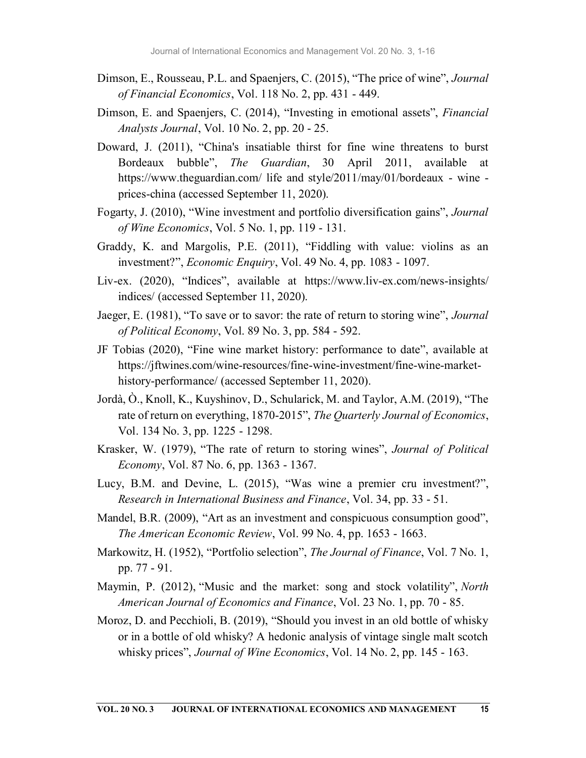- Dimson, E., Rousseau, P.L. and Spaenjers, C. (2015), "The price of wine", Journal of Financial Economics, Vol. 118 No. 2, pp. 431 - 449.
- Dimson, E. and Spaenjers, C. (2014), "Investing in emotional assets", Financial Analysts Journal, Vol. 10 No. 2, pp. 20 - 25.
- Doward, J. (2011), "China's insatiable thirst for fine wine threatens to burst Bordeaux bubble", The Guardian, 30 April 2011, available at https://www.theguardian.com/ life and style/2011/may/01/bordeaux - wine prices-china (accessed September 11, 2020).
- Fogarty, J. (2010), "Wine investment and portfolio diversification gains", Journal of Wine Economics, Vol. 5 No. 1, pp. 119 - 131.
- Graddy, K. and Margolis, P.E. (2011), "Fiddling with value: violins as an investment?", Economic Enquiry, Vol. 49 No. 4, pp. 1083 - 1097.
- Liv-ex. (2020), "Indices", available at https://www.liv-ex.com/news-insights/ indices/ (accessed September 11, 2020).
- Jaeger, E. (1981), "To save or to savor: the rate of return to storing wine", Journal of Political Economy, Vol. 89 No. 3, pp. 584 - 592.
- JF Tobias (2020), "Fine wine market history: performance to date", available at https://jftwines.com/wine-resources/fine-wine-investment/fine-wine-markethistory-performance/ (accessed September 11, 2020).
- Jordà, Ò., Knoll, K., Kuyshinov, D., Schularick, M. and Taylor, A.M. (2019), "The rate of return on everything, 1870-2015", *The Quarterly Journal of Economics*, Vol. 134 No. 3, pp. 1225 - 1298.
- Krasker, W. (1979), "The rate of return to storing wines", Journal of Political Economy, Vol. 87 No. 6, pp. 1363 - 1367.
- Lucy, B.M. and Devine, L. (2015), "Was wine a premier cru investment?", Research in International Business and Finance, Vol. 34, pp. 33 - 51.
- Mandel, B.R. (2009), "Art as an investment and conspicuous consumption good", The American Economic Review, Vol. 99 No. 4, pp. 1653 - 1663.
- Markowitz, H. (1952), "Portfolio selection", The Journal of Finance, Vol. 7 No. 1, pp. 77 - 91.
- Maymin, P. (2012), "Music and the market: song and stock volatility", North American Journal of Economics and Finance, Vol. 23 No. 1, pp. 70 - 85.
- Moroz, D. and Pecchioli, B. (2019), "Should you invest in an old bottle of whisky or in a bottle of old whisky? A hedonic analysis of vintage single malt scotch whisky prices", *Journal of Wine Economics*, Vol. 14 No. 2, pp. 145 - 163.